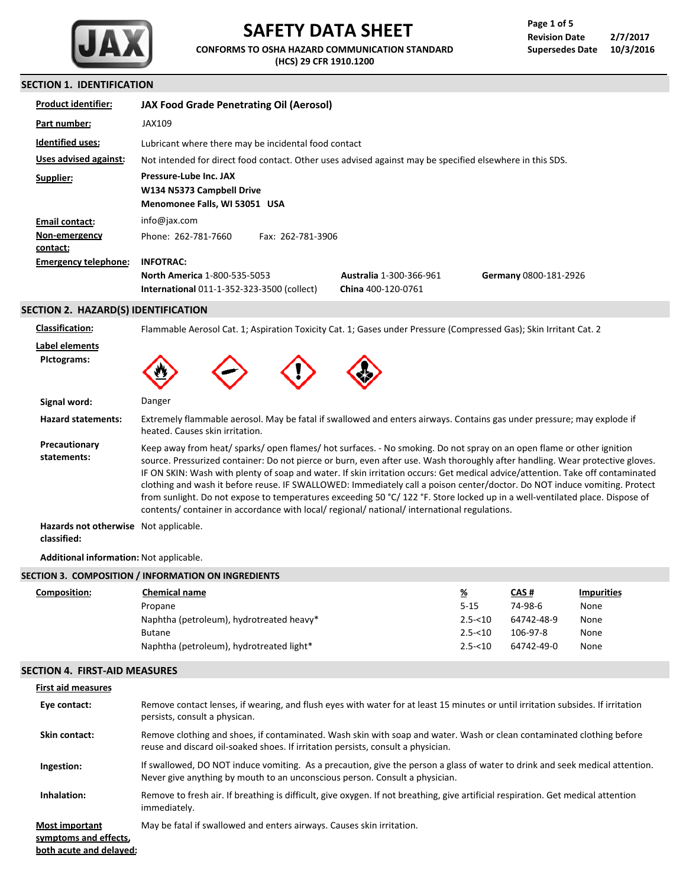

# **SAFETY DATA SHEET**

**CONFORMS TO OSHA HAZARD COMMUNICATION STANDARD (HCS) 29 CFR 1910.1200**

## **SECTION 1. IDENTIFICATION**

| <b>Product identifier:</b>  | <b>JAX Food Grade Penetrating Oil (Aerosol)</b>                                                          |                                                      |                       |
|-----------------------------|----------------------------------------------------------------------------------------------------------|------------------------------------------------------|-----------------------|
| Part number:                | JAX109                                                                                                   |                                                      |                       |
| <b>Identified uses:</b>     | Lubricant where there may be incidental food contact                                                     |                                                      |                       |
| Uses advised against:       | Not intended for direct food contact. Other uses advised against may be specified elsewhere in this SDS. |                                                      |                       |
| Supplier:                   | Pressure-Lube Inc. JAX<br>W134 N5373 Campbell Drive<br>Menomonee Falls, WI 53051 USA                     |                                                      |                       |
| Email contact:              | info@jax.com                                                                                             |                                                      |                       |
| Non-emergency<br>contact:   | Phone: 262-781-7660<br>Fax: 262-781-3906                                                                 |                                                      |                       |
| <b>Emergency telephone:</b> | <b>INFOTRAC:</b>                                                                                         |                                                      |                       |
|                             | <b>North America 1-800-535-5053</b><br><b>International 011-1-352-323-3500 (collect)</b>                 | <b>Australia 1-300-366-961</b><br>China 400-120-0761 | Germany 0800-181-2926 |

# **SECTION 2. HAZARD(S) IDENTIFICATION**

| <b>Classification:</b>                               | Flammable Aerosol Cat. 1; Aspiration Toxicity Cat. 1; Gases under Pressure (Compressed Gas); Skin Irritant Cat. 2                                                                                                                                                                                                                                                                                                                                                                                                                                                                                                                                                                                                                                 |  |  |
|------------------------------------------------------|---------------------------------------------------------------------------------------------------------------------------------------------------------------------------------------------------------------------------------------------------------------------------------------------------------------------------------------------------------------------------------------------------------------------------------------------------------------------------------------------------------------------------------------------------------------------------------------------------------------------------------------------------------------------------------------------------------------------------------------------------|--|--|
| Label elements<br>Pictograms:                        |                                                                                                                                                                                                                                                                                                                                                                                                                                                                                                                                                                                                                                                                                                                                                   |  |  |
| Signal word:                                         | Danger                                                                                                                                                                                                                                                                                                                                                                                                                                                                                                                                                                                                                                                                                                                                            |  |  |
| <b>Hazard statements:</b>                            | Extremely flammable aerosol. May be fatal if swallowed and enters airways. Contains gas under pressure; may explode if<br>heated. Causes skin irritation.                                                                                                                                                                                                                                                                                                                                                                                                                                                                                                                                                                                         |  |  |
| Precautionary<br>statements:                         | Keep away from heat/sparks/open flames/hot surfaces. - No smoking. Do not spray on an open flame or other ignition<br>source. Pressurized container: Do not pierce or burn, even after use. Wash thoroughly after handling. Wear protective gloves.<br>IF ON SKIN: Wash with plenty of soap and water. If skin irritation occurs: Get medical advice/attention. Take off contaminated<br>clothing and wash it before reuse. IF SWALLOWED: Immediately call a poison center/doctor. Do NOT induce vomiting. Protect<br>from sunlight. Do not expose to temperatures exceeding 50 °C/122 °F. Store locked up in a well-ventilated place. Dispose of<br>contents/ container in accordance with local/ regional/ national/ international regulations. |  |  |
| Hazards not otherwise Not applicable.<br>classified: |                                                                                                                                                                                                                                                                                                                                                                                                                                                                                                                                                                                                                                                                                                                                                   |  |  |

**Additional information:** Not applicable.

| <b>Chemical name</b>                     | <u>%</u>                                            | <b>CAS#</b> | <b>Impurities</b> |
|------------------------------------------|-----------------------------------------------------|-------------|-------------------|
| Propane                                  | $5 - 15$                                            | 74-98-6     | None              |
| Naphtha (petroleum), hydrotreated heavy* | $2.5 - 10$                                          | 64742-48-9  | None              |
| <b>Butane</b>                            | $2.5 - 10$                                          | 106-97-8    | None              |
| Naphtha (petroleum), hydrotreated light* | $2.5 - 10$                                          | 64742-49-0  | None              |
|                                          | SECTION 3. COMPOSITION / INFORMATION ON INGREDIENTS |             |                   |

#### **SECTION 4. FIRST-AID MEASURES**

| <b>First aid measures</b>                                                 |                                                                                                                                                                                                             |
|---------------------------------------------------------------------------|-------------------------------------------------------------------------------------------------------------------------------------------------------------------------------------------------------------|
| Eye contact:                                                              | Remove contact lenses, if wearing, and flush eyes with water for at least 15 minutes or until irritation subsides. If irritation<br>persists, consult a physican.                                           |
| Skin contact:                                                             | Remove clothing and shoes, if contaminated. Wash skin with soap and water. Wash or clean contaminated clothing before<br>reuse and discard oil-soaked shoes. If irritation persists, consult a physician.   |
| Ingestion:                                                                | If swallowed, DO NOT induce vomiting. As a precaution, give the person a glass of water to drink and seek medical attention.<br>Never give anything by mouth to an unconscious person. Consult a physician. |
| Inhalation:                                                               | Remove to fresh air. If breathing is difficult, give oxygen. If not breathing, give artificial respiration. Get medical attention<br>immediately.                                                           |
| <b>Most important</b><br>symptoms and effects,<br>both acute and delayed: | May be fatal if swallowed and enters airways. Causes skin irritation.                                                                                                                                       |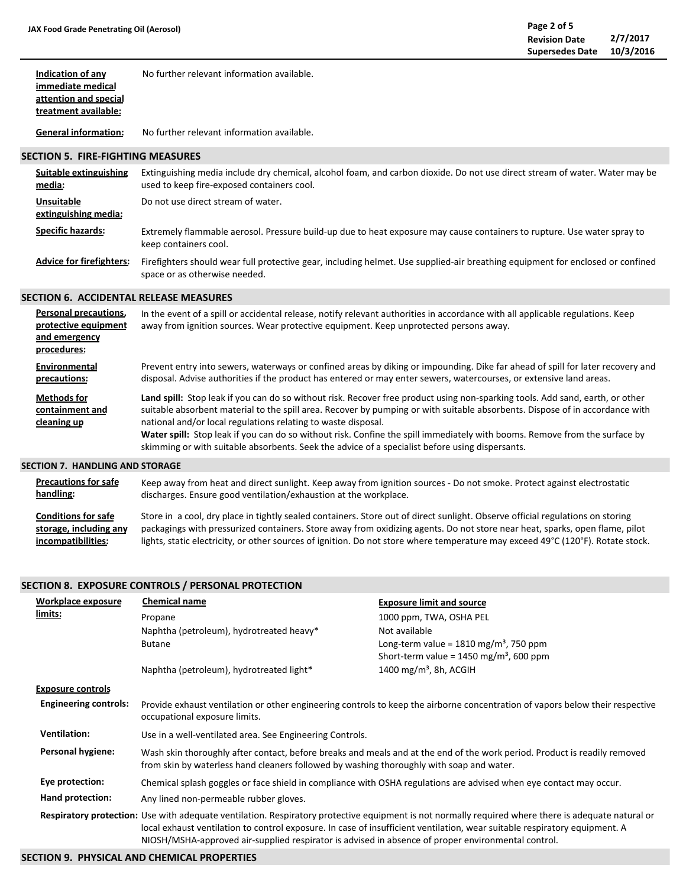**Indication of any** No further relevant information available.

**immediate medical attention and special treatment available:**

**General information:** No further relevant information available.

#### **SECTION 5. FIRE-FIGHTING MEASURES**

| Suitable extinguishing<br>media:          | Extinguishing media include dry chemical, alcohol foam, and carbon dioxide. Do not use direct stream of water. Water may be<br>used to keep fire-exposed containers cool. |
|-------------------------------------------|---------------------------------------------------------------------------------------------------------------------------------------------------------------------------|
| <b>Unsuitable</b><br>extinguishing media: | Do not use direct stream of water.                                                                                                                                        |
| <b>Specific hazards:</b>                  | Extremely flammable aerosol. Pressure build-up due to heat exposure may cause containers to rupture. Use water spray to<br>keep containers cool.                          |
| <b>Advice for firefighters:</b>           | Firefighters should wear full protective gear, including helmet. Use supplied-air breathing equipment for enclosed or confined<br>space or as otherwise needed.           |

## **SECTION 6. ACCIDENTAL RELEASE MEASURES**

| Personal precautions,<br>protective equipment<br>and emergency<br>procedures: | In the event of a spill or accidental release, notify relevant authorities in accordance with all applicable regulations. Keep<br>away from ignition sources. Wear protective equipment. Keep unprotected persons away.                                                                                                                                                                                                                                                                                                                                         |
|-------------------------------------------------------------------------------|-----------------------------------------------------------------------------------------------------------------------------------------------------------------------------------------------------------------------------------------------------------------------------------------------------------------------------------------------------------------------------------------------------------------------------------------------------------------------------------------------------------------------------------------------------------------|
| Environmental<br>precautions:                                                 | Prevent entry into sewers, waterways or confined areas by diking or impounding. Dike far ahead of spill for later recovery and<br>disposal. Advise authorities if the product has entered or may enter sewers, watercourses, or extensive land areas.                                                                                                                                                                                                                                                                                                           |
| <b>Methods for</b><br>containment and<br>cleaning up                          | Land spill: Stop leak if you can do so without risk. Recover free product using non-sparking tools. Add sand, earth, or other<br>suitable absorbent material to the spill area. Recover by pumping or with suitable absorbents. Dispose of in accordance with<br>national and/or local regulations relating to waste disposal.<br>Water spill: Stop leak if you can do so without risk. Confine the spill immediately with booms. Remove from the surface by<br>skimming or with suitable absorbents. Seek the advice of a specialist before using dispersants. |
| SECTION 7.  HANDLING AND STORAGE                                              |                                                                                                                                                                                                                                                                                                                                                                                                                                                                                                                                                                 |

| <b>Precautions for safe</b> | Keep away from heat and direct sunlight. Keep away from ignition sources - Do not smoke. Protect against electrostatic          |
|-----------------------------|---------------------------------------------------------------------------------------------------------------------------------|
| handling:                   | discharges. Ensure good ventilation/exhaustion at the workplace.                                                                |
| <b>Conditions for safe</b>  | Store in a cool, dry place in tightly sealed containers. Store out of direct sunlight. Observe official regulations on storing  |
| storage, including any      | packagings with pressurized containers. Store away from oxidizing agents. Do not store near heat, sparks, open flame, pilot     |
| incompatibilities:          | lights, static electricity, or other sources of ignition. Do not store where temperature may exceed 49°C (120°F). Rotate stock. |

## **SECTION 8. EXPOSURE CONTROLS / PERSONAL PROTECTION**

| Workplace exposure           | <b>Chemical name</b>                                                                                                                                                                                                                                                                                                                                                                    | <b>Exposure limit and source</b>                      |  |
|------------------------------|-----------------------------------------------------------------------------------------------------------------------------------------------------------------------------------------------------------------------------------------------------------------------------------------------------------------------------------------------------------------------------------------|-------------------------------------------------------|--|
| limits:                      | Propane                                                                                                                                                                                                                                                                                                                                                                                 | 1000 ppm, TWA, OSHA PEL                               |  |
|                              | Naphtha (petroleum), hydrotreated heavy*                                                                                                                                                                                                                                                                                                                                                | Not available                                         |  |
|                              | <b>Butane</b>                                                                                                                                                                                                                                                                                                                                                                           | Long-term value = $1810 \text{ mg/m}^3$ , 750 ppm     |  |
|                              |                                                                                                                                                                                                                                                                                                                                                                                         | Short-term value = $1450$ mg/m <sup>3</sup> , 600 ppm |  |
|                              | Naphtha (petroleum), hydrotreated light*                                                                                                                                                                                                                                                                                                                                                | 1400 mg/m <sup>3</sup> , 8h, ACGIH                    |  |
| <b>Exposure controls</b>     |                                                                                                                                                                                                                                                                                                                                                                                         |                                                       |  |
| <b>Engineering controls:</b> | Provide exhaust ventilation or other engineering controls to keep the airborne concentration of vapors below their respective<br>occupational exposure limits.                                                                                                                                                                                                                          |                                                       |  |
| <b>Ventilation:</b>          | Use in a well-ventilated area. See Engineering Controls.                                                                                                                                                                                                                                                                                                                                |                                                       |  |
| Personal hygiene:            | Wash skin thoroughly after contact, before breaks and meals and at the end of the work period. Product is readily removed<br>from skin by waterless hand cleaners followed by washing thoroughly with soap and water.                                                                                                                                                                   |                                                       |  |
| Eye protection:              | Chemical splash goggles or face shield in compliance with OSHA regulations are advised when eye contact may occur.                                                                                                                                                                                                                                                                      |                                                       |  |
| Hand protection:             | Any lined non-permeable rubber gloves.                                                                                                                                                                                                                                                                                                                                                  |                                                       |  |
|                              | Respiratory protection: Use with adequate ventilation. Respiratory protective equipment is not normally required where there is adequate natural or<br>local exhaust ventilation to control exposure. In case of insufficient ventilation, wear suitable respiratory equipment. A<br>NIOSH/MSHA-approved air-supplied respirator is advised in absence of proper environmental control. |                                                       |  |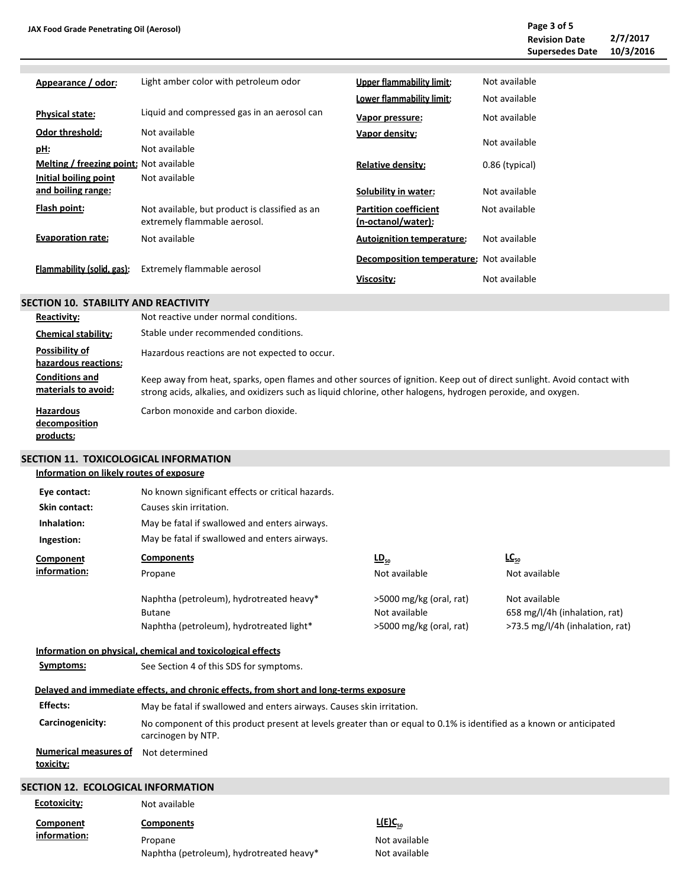| Appearance / odor:                      | Light amber color with petroleum odor                                          | Upper flammability limit:                          | Not available  |
|-----------------------------------------|--------------------------------------------------------------------------------|----------------------------------------------------|----------------|
|                                         |                                                                                | Lower flammability limit:                          | Not available  |
| <b>Physical state:</b>                  | Liquid and compressed gas in an aerosol can                                    | Vapor pressure:                                    | Not available  |
| <b>Odor threshold:</b>                  | Not available                                                                  | Vapor density:                                     |                |
| pH:                                     | Not available                                                                  |                                                    | Not available  |
| Melting / freezing point: Not available |                                                                                | <b>Relative density:</b>                           | 0.86 (typical) |
| Initial boiling point                   | Not available                                                                  |                                                    |                |
| and boiling range:                      |                                                                                | Solubility in water:                               | Not available  |
| Flash point:                            | Not available, but product is classified as an<br>extremely flammable aerosol. | <b>Partition coefficient</b><br>(n-octanol/water): | Not available  |
| <b>Evaporation rate:</b>                | Not available                                                                  | <b>Autoignition temperature:</b>                   | Not available  |
| Flammability (solid, gas):              | Extremely flammable aerosol                                                    | <b>Decomposition temperature:</b> Not available    |                |
|                                         |                                                                                | Viscosity:                                         | Not available  |

## **SECTION 10. STABILITY AND REACTIVITY**

| Reactivity:                                    | Not reactive under normal conditions.                                                                                                                                                                                                    |
|------------------------------------------------|------------------------------------------------------------------------------------------------------------------------------------------------------------------------------------------------------------------------------------------|
| <b>Chemical stability:</b>                     | Stable under recommended conditions.                                                                                                                                                                                                     |
| Possibility of<br>hazardous reactions:         | Hazardous reactions are not expected to occur.                                                                                                                                                                                           |
| <b>Conditions and</b><br>materials to avoid:   | Keep away from heat, sparks, open flames and other sources of ignition. Keep out of direct sunlight. Avoid contact with<br>strong acids, alkalies, and oxidizers such as liquid chlorine, other halogens, hydrogen peroxide, and oxygen. |
| <b>Hazardous</b><br>decomposition<br>products: | Carbon monoxide and carbon dioxide.                                                                                                                                                                                                      |

# **SECTION 11. TOXICOLOGICAL INFORMATION**

## **Information on likely routes of exposure**

| Eye contact:                                     | No known significant effects or critical hazards.                                                                                          |                         |                                 |  |  |
|--------------------------------------------------|--------------------------------------------------------------------------------------------------------------------------------------------|-------------------------|---------------------------------|--|--|
| Skin contact:                                    | Causes skin irritation.                                                                                                                    |                         |                                 |  |  |
| Inhalation:                                      | May be fatal if swallowed and enters airways.                                                                                              |                         |                                 |  |  |
| Ingestion:                                       | May be fatal if swallowed and enters airways.                                                                                              |                         |                                 |  |  |
| Component                                        | <b>Components</b>                                                                                                                          | $\underline{LD}_{50}$   | $LC_{50}$                       |  |  |
| information:                                     | Propane                                                                                                                                    | Not available           | Not available                   |  |  |
|                                                  | Naphtha (petroleum), hydrotreated heavy*                                                                                                   | >5000 mg/kg (oral, rat) | Not available                   |  |  |
|                                                  | <b>Butane</b>                                                                                                                              | Not available           | 658 mg/l/4h (inhalation, rat)   |  |  |
|                                                  | Naphtha (petroleum), hydrotreated light*                                                                                                   | >5000 mg/kg (oral, rat) | >73.5 mg/l/4h (inhalation, rat) |  |  |
|                                                  | Information on physical, chemical and toxicological effects                                                                                |                         |                                 |  |  |
| Symptoms:                                        | See Section 4 of this SDS for symptoms.                                                                                                    |                         |                                 |  |  |
|                                                  | Delayed and immediate effects, and chronic effects, from short and long-terms exposure                                                     |                         |                                 |  |  |
| <b>Effects:</b>                                  | May be fatal if swallowed and enters airways. Causes skin irritation.                                                                      |                         |                                 |  |  |
| Carcinogenicity:                                 | No component of this product present at levels greater than or equal to 0.1% is identified as a known or anticipated<br>carcinogen by NTP. |                         |                                 |  |  |
| <b>Numerical measures of</b><br><u>toxicity:</u> | Not determined                                                                                                                             |                         |                                 |  |  |
| <b>SECTION 12. ECOLOGICAL INFORMATION</b>        |                                                                                                                                            |                         |                                 |  |  |
| <b>Ecotoxicity:</b>                              | Not available                                                                                                                              |                         |                                 |  |  |
|                                                  |                                                                                                                                            | 1/F1C                   |                                 |  |  |

Not available Not available

| Component           | <b>Components</b>                        | $L(E)C_{50}$ |
|---------------------|------------------------------------------|--------------|
| <u>information:</u> | Propane                                  | Not ava      |
|                     | Naphtha (petroleum), hydrotreated heavy* | Not ava      |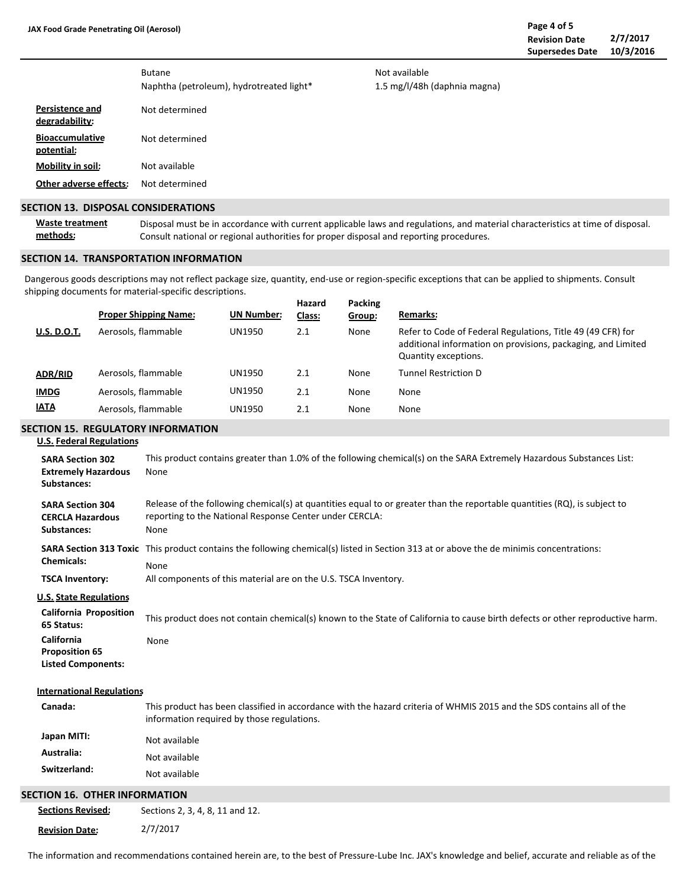**potential:**

**Mobility in soil: Persistence and degradability: Bioaccumulative** Not determined Not determined Butane Naphtha (petroleum), hydrotreated light\* Not available

**Other adverse effects:** Not determined

#### **SECTION 13. DISPOSAL CONSIDERATIONS**

**Waste treatment methods:** Disposal must be in accordance with current applicable laws and regulations, and material characteristics at time of disposal. Consult national or regional authorities for proper disposal and reporting procedures.

Not available

1.5 mg/l/48h (daphnia magna)

### **SECTION 14. TRANSPORTATION INFORMATION**

**Packing** Dangerous goods descriptions may not reflect package size, quantity, end-use or region-specific exceptions that can be applied to shipments. Consult shipping documents for material-specific descriptions.

|                    | <b>Proper Shipping Name:</b> | <b>UN Number:</b> | Hazard<br>Class: | Packing<br>Group: | <b>Remarks:</b>                                                                                                                                     |
|--------------------|------------------------------|-------------------|------------------|-------------------|-----------------------------------------------------------------------------------------------------------------------------------------------------|
| <b>U.S. D.O.T.</b> | Aerosols, flammable          | UN1950            | 2.1              | None              | Refer to Code of Federal Regulations, Title 49 (49 CFR) for<br>additional information on provisions, packaging, and Limited<br>Quantity exceptions. |
| <b>ADR/RID</b>     | Aerosols, flammable          | UN1950            | 2.1              | None              | Tunnel Restriction D                                                                                                                                |
| <b>IMDG</b>        | Aerosols, flammable          | UN1950            | 2.1              | None              | None                                                                                                                                                |
| <b>IATA</b>        | Aerosols, flammable          | UN1950            | 2.1              | None              | None                                                                                                                                                |

## **SECTION 15. REGULATORY INFORMATION**

|  | <b>U.S. Federal Regulations</b> |  |
|--|---------------------------------|--|
|  |                                 |  |

| <b>SARA Section 302</b><br><b>Extremely Hazardous</b><br>Substances: | This product contains greater than 1.0% of the following chemical(s) on the SARA Extremely Hazardous Substances List:<br>None                                                                |  |  |  |  |  |
|----------------------------------------------------------------------|----------------------------------------------------------------------------------------------------------------------------------------------------------------------------------------------|--|--|--|--|--|
| <b>SARA Section 304</b><br><b>CERCLA Hazardous</b><br>Substances:    | Release of the following chemical(s) at quantities equal to or greater than the reportable quantities (RQ), is subject to<br>reporting to the National Response Center under CERCLA:<br>None |  |  |  |  |  |
| <b>Chemicals:</b>                                                    | SARA Section 313 Toxic This product contains the following chemical(s) listed in Section 313 at or above the de minimis concentrations:<br><b>None</b>                                       |  |  |  |  |  |
| <b>TSCA Inventory:</b>                                               | All components of this material are on the U.S. TSCA Inventory.                                                                                                                              |  |  |  |  |  |
| <b>U.S. State Regulations</b>                                        |                                                                                                                                                                                              |  |  |  |  |  |
| <b>California Proposition</b><br>65 Status:                          | This product does not contain chemical(s) known to the State of California to cause birth defects or other reproductive harm.                                                                |  |  |  |  |  |
| California<br><b>Proposition 65</b><br><b>Listed Components:</b>     | None                                                                                                                                                                                         |  |  |  |  |  |
| <b>International Regulations</b>                                     |                                                                                                                                                                                              |  |  |  |  |  |
| Canada:                                                              | This product has been classified in accordance with the hazard criteria of WHMIS 2015 and the SDS contains all of the<br>information required by those regulations.                          |  |  |  |  |  |
| Japan MITI:                                                          | Not available                                                                                                                                                                                |  |  |  |  |  |
| Australia:                                                           | Not available                                                                                                                                                                                |  |  |  |  |  |
| Switzerland:                                                         | Not available                                                                                                                                                                                |  |  |  |  |  |
| SECTION 16. OTHER INFORMATION                                        |                                                                                                                                                                                              |  |  |  |  |  |
| <b>Sections Revised:</b>                                             | Sections 2, 3, 4, 8, 11 and 12.                                                                                                                                                              |  |  |  |  |  |
| <b>Revision Date:</b>                                                | 2/7/2017                                                                                                                                                                                     |  |  |  |  |  |

The information and recommendations contained herein are, to the best of Pressure-Lube Inc. JAX's knowledge and belief, accurate and reliable as of the